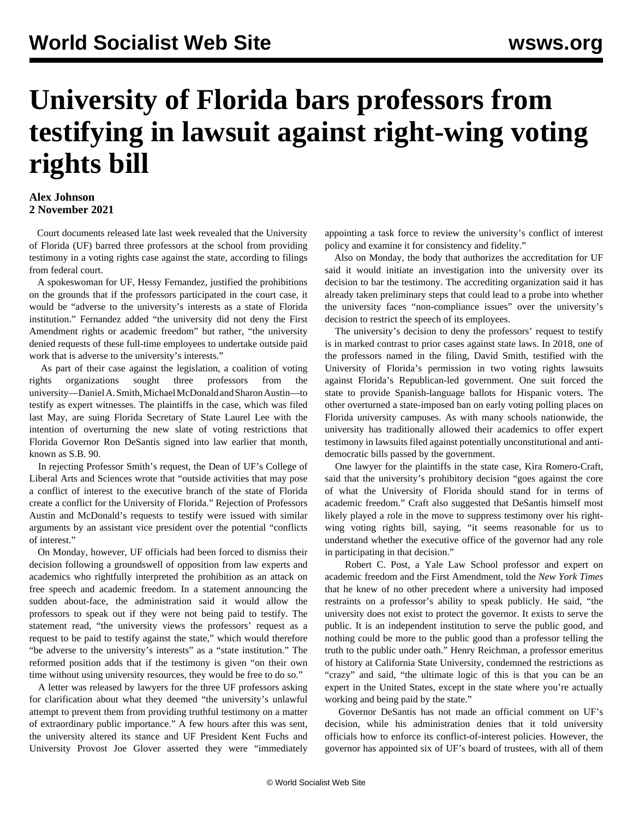## **University of Florida bars professors from testifying in lawsuit against right-wing voting rights bill**

## **Alex Johnson 2 November 2021**

 Court documents released late last week revealed that the University of Florida (UF) barred three professors at the school from providing testimony in a voting rights case against the state, according to filings from federal court.

 A spokeswoman for UF, Hessy Fernandez, justified the prohibitions on the grounds that if the professors participated in the court case, it would be "adverse to the university's interests as a state of Florida institution." Fernandez added "the university did not deny the First Amendment rights or academic freedom" but rather, "the university denied requests of these full-time employees to undertake outside paid work that is adverse to the university's interests."

 As part of their case against the legislation, a coalition of voting rights organizations sought three professors from the university—Daniel A. Smith, Michael McDonald and Sharon Austin—to testify as expert witnesses. The plaintiffs in the case, which was filed last May, are suing Florida Secretary of State Laurel Lee with the intention of overturning the new slate of voting restrictions that Florida Governor Ron DeSantis signed into law earlier that month, known as S.B. 90.

 In rejecting Professor Smith's request, the Dean of UF's College of Liberal Arts and Sciences wrote that "outside activities that may pose a conflict of interest to the executive branch of the state of Florida create a conflict for the University of Florida." Rejection of Professors Austin and McDonald's requests to testify were issued with similar arguments by an assistant vice president over the potential "conflicts of interest."

 On Monday, however, UF officials had been forced to dismiss their decision following a groundswell of opposition from law experts and academics who rightfully interpreted the prohibition as an attack on free speech and academic freedom. In a statement announcing the sudden about-face, the administration said it would allow the professors to speak out if they were not being paid to testify. The statement read, "the university views the professors' request as a request to be paid to testify against the state," which would therefore "be adverse to the university's interests" as a "state institution." The reformed position adds that if the testimony is given "on their own time without using university resources, they would be free to do so."

 A letter was released by lawyers for the three UF professors asking for clarification about what they deemed "the university's unlawful attempt to prevent them from providing truthful testimony on a matter of extraordinary public importance." A few hours after this was sent, the university altered its stance and UF President Kent Fuchs and University Provost Joe Glover asserted they were "immediately appointing a task force to review the university's conflict of interest policy and examine it for consistency and fidelity."

 Also on Monday, the body that authorizes the accreditation for UF said it would initiate an investigation into the university over its decision to bar the testimony. The accrediting organization said it has already taken preliminary steps that could lead to a probe into whether the university faces "non-compliance issues" over the university's decision to restrict the speech of its employees.

 The university's decision to deny the professors' request to testify is in marked contrast to prior cases against state laws. In 2018, one of the professors named in the filing, David Smith, testified with the University of Florida's permission in two voting rights lawsuits against Florida's Republican-led government. One suit forced the state to provide Spanish-language ballots for Hispanic voters. The other overturned a state-imposed ban on early voting polling places on Florida university campuses. As with many schools nationwide, the university has traditionally allowed their academics to offer expert testimony in lawsuits filed against potentially unconstitutional and antidemocratic bills passed by the government.

 One lawyer for the plaintiffs in the state case, Kira Romero-Craft, said that the university's prohibitory decision "goes against the core of what the University of Florida should stand for in terms of academic freedom." Craft also suggested that DeSantis himself most likely played a role in the move to suppress testimony over his rightwing voting rights bill, saying, "it seems reasonable for us to understand whether the executive office of the governor had any role in participating in that decision."

 Robert C. Post, a Yale Law School professor and expert on academic freedom and the First Amendment, told the *New York Times* that he knew of no other precedent where a university had imposed restraints on a professor's ability to speak publicly. He said, "the university does not exist to protect the governor. It exists to serve the public. It is an independent institution to serve the public good, and nothing could be more to the public good than a professor telling the truth to the public under oath." Henry Reichman, a professor emeritus of history at California State University, condemned the restrictions as "crazy" and said, "the ultimate logic of this is that you can be an expert in the United States, except in the state where you're actually working and being paid by the state."

 Governor DeSantis has not made an official comment on UF's decision, while his administration denies that it told university officials how to enforce its conflict-of-interest policies. However, the governor has appointed six of UF's board of trustees, with all of them